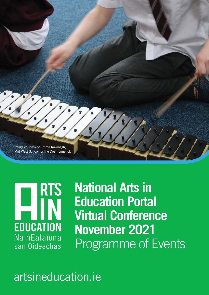

**RTS** ▊ **EDUCATION** Na hEalaíona san Oideachas

**National Arts in Education Portal Virtual Conference November 2021** Programme of Events

# artsineducation.ie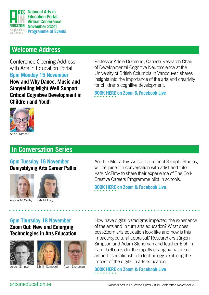

# **Welcome Address**

Conference Opening Address with Arts in Education Portal **6pm Monday 15 November How and Why Dance, Music and Storytelling Might Well Support Critical Cognitive Development in**  Professor Adele Diamond, Canada Research Chair of Developmental Cognitive Neuroscience at the University of British Columbia in Vancouver, shares insights into the importance of the arts and creativity for children's cognitive development.

**[BOOK HERE on Zoom & Facebook Live](https://www.eventbrite.ie/e/opening-keynote-event-with-professor-adele-diamond-tickets-173755827357)**



**Children and Youth**

# **In Conversation Series**

### **6pm Tuesday 16 November Demystifying Arts Career Paths**





Aoibhie McCarthy

Kate McElroy

Aoibhie McCarthy, Artistic Director of Sample-Studios, will be joined in conversation with artist and tutor Kate McElroy to share their experience of The Cork Creative Careers Programme pilot in schools.

**[BOOK HERE on Zoom & Facebook Live](https://www.eventbrite.ie/e/in-conversation-series-demystifying-arts-career-paths-tickets-172629578717)**

**6pm Thursday 18 November Zoom Out: New and Emerging Technologies in Arts Education**





How have digital paradigms impacted the experience of the arts and in turn arts education? What does post-Zoom arts education look like and how is this impacting cultural appraisal? Researchers Jürgen Simpson and Adam Stoneman and teacher Eibhlin Campbell consider the rapidly changing nature of art and its relationship to technology, exploring the impact of the digital in arts education.

**[BOOK HERE on Zoom & Facebook Live](https://www.eventbrite.ie/e/in-conversation-series-zoom-out-new-emerging-technologies-tickets-172870559497)** 

Jürgen Simpson Eibhlin Campbell Adam Stoneman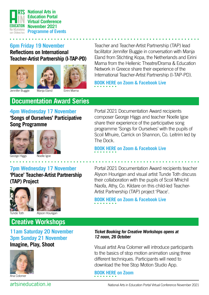

### **6pm Friday 19 November Reflections on International Teacher-Artist Partnership (I-TAP-PD)**





Teacher and Teacher-Artist Partnership (TAP) lead facilitator Jennifer Buggie in conversation with Manja Eland from Stichting Kopa, the Netherlands and Eirini Marna from the Hellenic Theatre/Drama & Education Network in Greece share their experience of the International Teacher-Artist Partnership (I-TAP-PD).

Jennifer Buggie

Manja Eland

### Eirini Marna

**4pm Wednesday 17 November 'Songs of Ourselves' Participative Documentation Award Series** 





'ge Higgs

**Song Programme**

# Noelle Igoe

**7pm Wednesday 17 November 'Place' Teacher-Artist Partnership (TAP) Project** 





# **Creative Workshops**

**11am Saturday 20 November 3pm Sunday 21 November Imagine, Play, Shoot**



Ana Colomer

Portal 2021 Documentation Award recipients composer George Higgs and teacher Noelle Igoe share their experience of the participative song programme 'Songs for Ourselves' with the pupils of Scoil Mhuire, Carrick on Shannon, Co. Leitrim led by The Dock.

**[BOOK HERE on Zoom & Facebook Live](https://www.eventbrite.ie/e/documentation-award-series-songs-of-ourselves-tickets-171877328717)**

**[BOOK HERE on Zoom & Facebook Live](https://www.eventbrite.ie/e/reflections-on-international-teacher-artist-partnership-i-tap-pd-tickets-184948605257)**

Portal 2021 Documentation Award recipients teacher Alyson Hourigan and visual artist Tunde Toth discuss their collaboration with the pupils of Scoil Mhichíl Naofa, Athy, Co. Kildare on this child-led Teacher-Artist Partnership (TAP) project 'Place'.

**[BOOK HERE on Zoom & Facebook Live](https://www.eventbrite.ie/e/documentation-award-series-place-teacher-artist-partnership-project-tickets-174076737207)**

### **Ticket Booking for Creative Workshops opens at 12 noon, 26 October**

Visual artist Ana Colomer will introduce participants to the basics of stop motion animation using three different techniques. Participants will need to download the free Stop Motion Studio App.

**[BOOK HERE on Zoom](https://www.eventbrite.ie/e/creative-workshop-imagine-play-shoot-tickets-172773529277)** 

artsineducation.ie National Arts in Education Portal Virtual Conference November 2021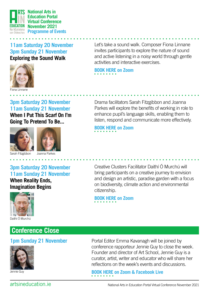

**11am Saturday 20 November 3pm Sunday 21 November Exploring the Sound Walk**



Let's take a sound walk. Composer Fiona Linnane invites participants to explore the nature of sound and active listening in a noisy world through gentle activities and interactive exercises.

**[BOOK HERE on Zoom](https://www.eventbrite.ie/e/creative-workshop-exploring-the-sound-walk-tickets-172841181627)** 

**3pm Saturday 20 November 11am Sunday 21 November When I Put This Scarf On I'm Going To Pretend To Be...**





Sarah Fitzgibbon

Joanna Parkes

### **3pm Saturday 20 November 11am Sunday 21 November When Reality Ends, Imagination Begins**



# **Conference Close**

### **1pm Sunday 21 November**



Jennie Guy

Drama facilitators Sarah Fitzgibbon and Joanna Parkes will explore the benefits of working in role to enhance pupil's language skills, enabling them to listen, respond and communicate more effectively.

**[BOOK HERE on Zoom](https://www.eventbrite.ie/e/creative-workshop-when-i-put-this-scarf-on-im-going-to-pretend-to-be-tickets-172864802277)**

Creative Clusters Facilitator Daithí Ó Murchú will bring participants on a creative journey to envision and design an artistic, paradise garden with a focus on biodiversity, climate action and environmental citizenship.

**[BOOK HERE on Zoom](https://www.eventbrite.ie/e/creative-workshop-when-reality-ends-imagination-begins-tickets-172810750607)** 

Portal Editor Emma Kavanagh will be joined by conference rapporteur Jennie Guy to close the week. Founder and director of Art School, Jennie Guy is a curator, artist, writer and educator who will share her reflections on the week's events and discussions.

**[BOOK HERE on Zoom & Facebook Live](https://www.eventbrite.ie/e/conference-closing-event-tickets-174088652847)** 

artsineducation.ie National Arts in Education Portal Virtual Conference November 2021